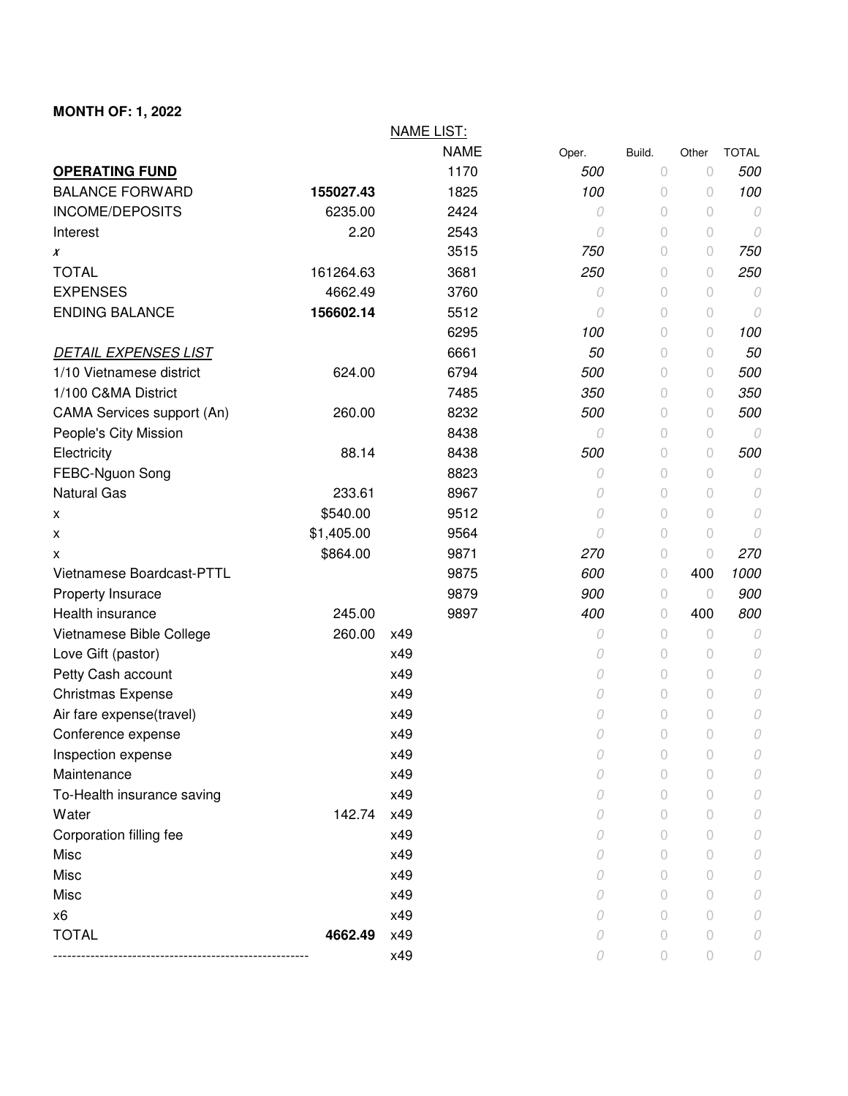## **MONTH OF: 1, 2022**

|                             |            | <b>NAME LIST:</b> |       |            |            |              |
|-----------------------------|------------|-------------------|-------|------------|------------|--------------|
|                             |            | <b>NAME</b>       | Oper. | Build.     | Other      | <b>TOTAL</b> |
| <b>OPERATING FUND</b>       |            | 1170              | 500   | $\circ$    | $\circ$    | 500          |
| <b>BALANCE FORWARD</b>      | 155027.43  | 1825              | 100   | $\circ$    | 0          | 100          |
| <b>INCOME/DEPOSITS</b>      | 6235.00    | 2424              | 0     | 0          | $\circ$    | 0            |
| Interest                    | 2.20       | 2543              | 0     | $\circ$    | $\circ$    | 0            |
| X                           |            | 3515              | 750   | 0          | $\theta$   | 750          |
| <b>TOTAL</b>                | 161264.63  | 3681              | 250   | 0          | $\theta$   | 250          |
| <b>EXPENSES</b>             | 4662.49    | 3760              | 0     | 0          | $\circ$    | 0            |
| <b>ENDING BALANCE</b>       | 156602.14  | 5512              | 0     | 0          | $\circ$    | 0            |
|                             |            | 6295              | 100   | 0          | $\circ$    | 100          |
| <b>DETAIL EXPENSES LIST</b> |            | 6661              | 50    | 0          | $\theta$   | 50           |
| 1/10 Vietnamese district    | 624.00     | 6794              | 500   | 0          | $\theta$   | 500          |
| 1/100 C&MA District         |            | 7485              | 350   | 0          | $\theta$   | 350          |
| CAMA Services support (An)  | 260.00     | 8232              | 500   | 0          | $\theta$   | 500          |
| People's City Mission       |            | 8438              | 0     | 0          | $\circ$    | 0            |
| Electricity                 | 88.14      | 8438              | 500   | 0          | $\theta$   | 500          |
| FEBC-Nguon Song             |            | 8823              | 0     | $\circ$    | $\circ$    | 0            |
| <b>Natural Gas</b>          | 233.61     | 8967              | 0     | 0          | $\circ$    | 0            |
| X                           | \$540.00   | 9512              | 0     | 0          | $\circ$    | 0            |
| X                           | \$1,405.00 | 9564              | 0     | 0          | $\circ$    | 0            |
| х                           | \$864.00   | 9871              | 270   | 0          | $\circ$    | 270          |
| Vietnamese Boardcast-PTTL   |            | 9875              | 600   | $\bigcirc$ | 400        | 1000         |
| Property Insurace           |            | 9879              | 900   | $\circ$    | $\circ$    | 900          |
| Health insurance            | 245.00     | 9897              | 400   | $\circ$    | 400        | 800          |
| Vietnamese Bible College    | 260.00     | x49               | 0     | 0          | $\circ$    | $\cal O$     |
| Love Gift (pastor)          |            | x49               | 0     | 0          | $\theta$   | 0            |
| Petty Cash account          |            | x49               | 0     | 0          | $\circ$    | 0            |
| <b>Christmas Expense</b>    |            | x49               | 0     | 0          | $\circ$    | 0            |
| Air fare expense(travel)    |            | x49               | 0     | 0          | $\bigcirc$ | 0            |
| Conference expense          |            | x49               | 0     | 0          | $\circ$    | 0            |
| Inspection expense          |            | x49               | 0     | 0          | $\circ$    | 0            |
| Maintenance                 |            | x49               | 0     | 0          | $\bigcirc$ | 0            |
| To-Health insurance saving  |            | x49               | 0     | 0          | $\circ$    | 0            |
| Water                       | 142.74     | x49               | 0     | 0          | $\bigcirc$ | 0            |
| Corporation filling fee     |            | x49               | 0     | 0          | 0          | 0            |
| Misc                        |            | x49               | 0     | 0          | $\bigcirc$ | 0            |
| Misc                        |            | x49               | 0     | 0          | $\circ$    | 0            |
| Misc                        |            | x49               | 0     | 0          | $\circ$    | 0            |
| x6                          |            | x49               | 0     | 0          | $\bigcirc$ | 0            |
| <b>TOTAL</b>                | 4662.49    | x49               | 0     | 0          | $\circ$    | 0            |
|                             |            | x49               | 0     | 0          | $\circ$    | 0            |